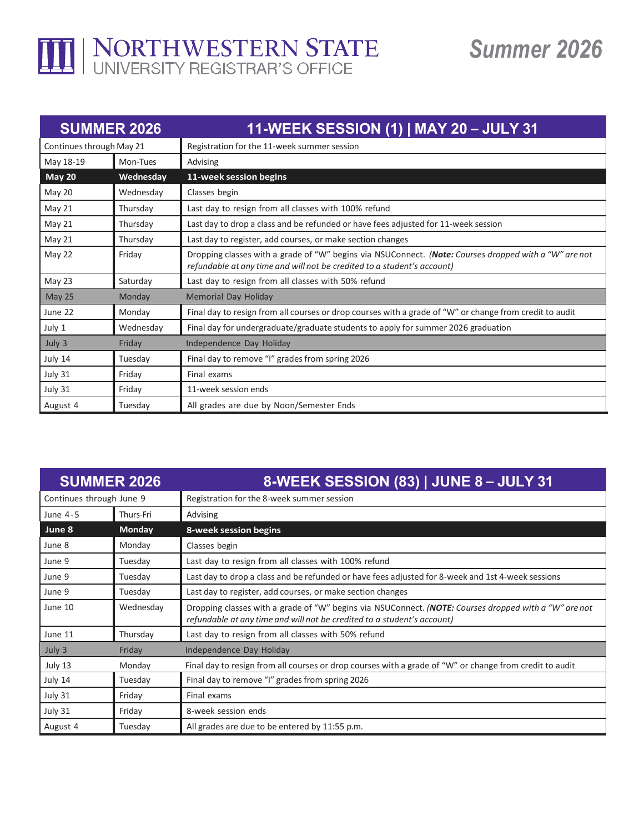

## *Summer 2026*

| <b>SUMMER 2026</b>       |           | 11-WEEK SESSION (1)   MAY 20 - JULY 31                                                                                                                                           |
|--------------------------|-----------|----------------------------------------------------------------------------------------------------------------------------------------------------------------------------------|
| Continues through May 21 |           | Registration for the 11-week summer session                                                                                                                                      |
| May 18-19                | Mon-Tues  | Advising                                                                                                                                                                         |
| <b>May 20</b>            | Wednesday | 11-week session begins                                                                                                                                                           |
| May 20                   | Wednesday | Classes begin                                                                                                                                                                    |
| May 21                   | Thursday  | Last day to resign from all classes with 100% refund                                                                                                                             |
| May 21                   | Thursday  | Last day to drop a class and be refunded or have fees adjusted for 11-week session                                                                                               |
| May 21                   | Thursday  | Last day to register, add courses, or make section changes                                                                                                                       |
| May 22                   | Friday    | Dropping classes with a grade of "W" begins via NSUConnect. (Note: Courses dropped with a "W" are not<br>refundable at any time and will not be credited to a student's account) |
| May 23                   | Saturday  | Last day to resign from all classes with 50% refund                                                                                                                              |
| May 25                   | Monday    | Memorial Day Holiday                                                                                                                                                             |
| June 22                  | Monday    | Final day to resign from all courses or drop courses with a grade of "W" or change from credit to audit                                                                          |
| July 1                   | Wednesday | Final day for undergraduate/graduate students to apply for summer 2026 graduation                                                                                                |
| July 3                   | Friday    | Independence Day Holiday                                                                                                                                                         |
| July 14                  | Tuesday   | Final day to remove "I" grades from spring 2026                                                                                                                                  |
| July 31                  | Friday    | Final exams                                                                                                                                                                      |
| July 31                  | Friday    | 11-week session ends                                                                                                                                                             |
| August 4                 | Tuesday   | All grades are due by Noon/Semester Ends                                                                                                                                         |

| <b>SUMMER 2026</b>       |               | 8-WEEK SESSION (83)   JUNE 8 - JULY 31                                                                                                                                           |
|--------------------------|---------------|----------------------------------------------------------------------------------------------------------------------------------------------------------------------------------|
| Continues through June 9 |               | Registration for the 8-week summer session                                                                                                                                       |
| June 4-5                 | Thurs-Fri     | Advising                                                                                                                                                                         |
| June 8                   | <b>Monday</b> | 8-week session begins                                                                                                                                                            |
| June 8                   | Monday        | Classes begin                                                                                                                                                                    |
| June 9                   | Tuesday       | Last day to resign from all classes with 100% refund                                                                                                                             |
| June 9                   | Tuesday       | Last day to drop a class and be refunded or have fees adjusted for 8-week and 1st 4-week sessions                                                                                |
| June 9                   | Tuesday       | Last day to register, add courses, or make section changes                                                                                                                       |
| June 10                  | Wednesday     | Dropping classes with a grade of "W" begins via NSUConnect. (NOTE: Courses dropped with a "W" are not<br>refundable at any time and will not be credited to a student's account) |
| June 11                  | Thursday      | Last day to resign from all classes with 50% refund                                                                                                                              |
| July 3                   | Friday        | Independence Day Holiday                                                                                                                                                         |
| July 13                  | Monday        | Final day to resign from all courses or drop courses with a grade of "W" or change from credit to audit                                                                          |
| July 14                  | Tuesday       | Final day to remove "I" grades from spring 2026                                                                                                                                  |
| July 31                  | Friday        | Final exams                                                                                                                                                                      |
| July 31                  | Friday        | 8-week session ends                                                                                                                                                              |
| August 4                 | Tuesday       | All grades are due to be entered by 11:55 p.m.                                                                                                                                   |